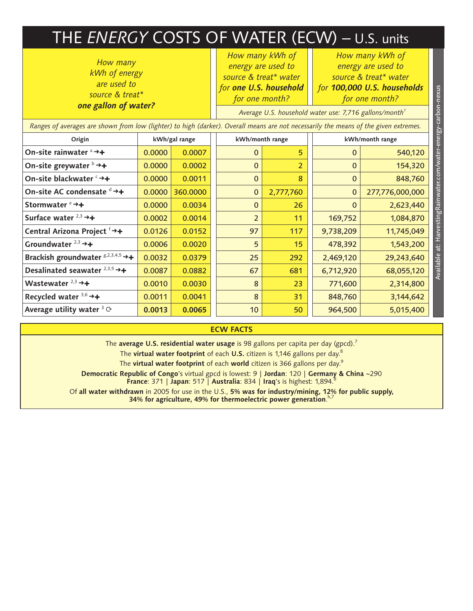## THE *ENERGY* COSTS OF WATER (ECW) – U.S. units

*How many kWh of energy are used to source & treat\* one gallon of water?*

*How many kWh of energy are used to source & treat\* water for one U.S. household for one month?*

*How many kWh of energy are used to source & treat\* water* 

*for 100,000 U.S. households for one month?*

Available at: HarvestingRainwater.com/water-energy-carbon-nexus

Available at: HarvestingRainwater.com/water-energy-carbon-nexus

| <b><i>UNE RANDRI UP WALENT</i></b>                                                                                                   |               |          |  | Average U.S. household water use: 7,716 gallons/month <sup>1</sup> |           |  |                 |                 |  |
|--------------------------------------------------------------------------------------------------------------------------------------|---------------|----------|--|--------------------------------------------------------------------|-----------|--|-----------------|-----------------|--|
| Ranges of averages are shown from low (lighter) to high (darker). Overall means are not necessarily the means of the given extremes. |               |          |  |                                                                    |           |  |                 |                 |  |
| Origin                                                                                                                               | kWh/gal range |          |  | kWh/month range                                                    |           |  | kWh/month range |                 |  |
| On-site rainwater $a \rightarrow +$                                                                                                  | 0.0000        | 0.0007   |  | $\Omega$                                                           | 5         |  | $\mathbf{0}$    | 540,120         |  |
| On-site greywater $\flat \rightarrow +$                                                                                              | 0.0000        | 0.0002   |  | $\mathbf{0}$                                                       | 2         |  | $\mathbf{0}$    | 154,320         |  |
| On-site blackwater <sup>c</sup> →+                                                                                                   | 0.0000        | 0.0011   |  | $\mathbf{0}$                                                       | 8         |  | $\mathbf{0}$    | 848,760         |  |
| On-site AC condensate d →+                                                                                                           | 0.0000        | 360.0000 |  | $\mathbf{0}$                                                       | 2,777,760 |  | $\mathbf 0$     | 277,776,000,000 |  |
| Stormwater $e \rightarrow +$                                                                                                         | 0.0000        | 0.0034   |  | $\mathbf{0}$                                                       | 26        |  | $\mathbf{0}$    | 2,623,440       |  |
| Surface water $2,3$ $\rightarrow$ +                                                                                                  | 0.0002        | 0.0014   |  | $\overline{2}$                                                     | 11        |  | 169,752         | 1,084,870       |  |
| Central Arizona Project f→+                                                                                                          | 0.0126        | 0.0152   |  | 97                                                                 | 117       |  | 9,738,209       | 11,745,049      |  |
| Groundwater $2,3$ $\rightarrow +$                                                                                                    | 0.0006        | 0.0020   |  | 5                                                                  | 15        |  | 478,392         | 1,543,200       |  |
| Brackish groundwater ${}^{g,2,3,4,5} \rightarrow +$                                                                                  | 0.0032        | 0.0379   |  | 25                                                                 | 292       |  | 2,469,120       | 29,243,640      |  |
| Desalinated seawater $2,3,5$ $\rightarrow$ +                                                                                         | 0.0087        | 0.0882   |  | 67                                                                 | 681       |  | 6,712,920       | 68,055,120      |  |
| Wastewater $2,3$ $\rightarrow$ +                                                                                                     | 0.0010        | 0.0030   |  | 8                                                                  | 23        |  | 771,600         | 2,314,800       |  |
| Recycled water $3,6$ $\rightarrow$ +                                                                                                 | 0.0011        | 0.0041   |  | 8                                                                  | 31        |  | 848,760         | 3,144,642       |  |
| Average utility water $3 \circ$                                                                                                      | 0.0013        | 0.0065   |  | 10 <sup>°</sup>                                                    | 50        |  | 964,500         | 5,015,400       |  |
|                                                                                                                                      |               |          |  |                                                                    |           |  |                 |                 |  |

## **ECW FACTS**

The **average U.S. residential water usage** is 98 gallons per capita per day (gpcd).<sup>7</sup>

The **virtual water footprint** of each **U.S.** citizen is 1,146 gallons per day.8

The **virtual water footprint** of each **world** citizen is 366 gallons per day.9

**Democratic Republic of Congo**'s virtual gpcd is lowest: 9 | **Jordan**: 120 | **Germany & China** ~290 **France**: 371 | **Japan**: 517 | **Australia**: 834 | **Iraq**'s is highest: 1,894.8

Of **all water withdrawn** in 2005 for use in the U.S., **5% was for industry/mining, 12% for public supply, 34% for agriculture, 49% for thermoelectric power generation**. h,7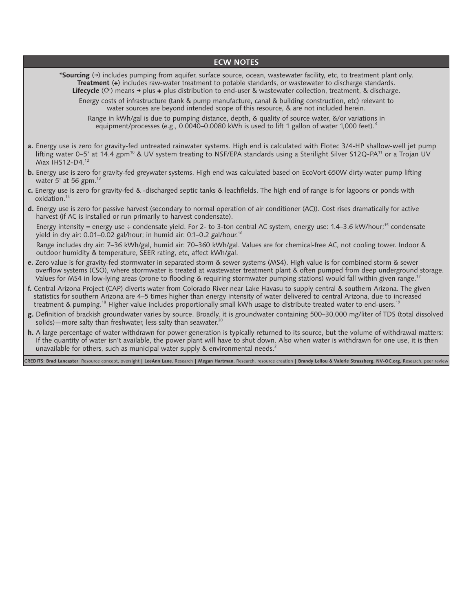## **ECW NOTES**

\***Sourcing** (**➜**) includes pumping from aquifer, surface source, ocean, wastewater facility, etc, to treatment plant only. **Treatment** (**✚**) includes raw-water treatment to potable standards, or wastewater to discharge standards. **Lifecycle** ( $\circ$ ) means  $\rightarrow$  plus  $\leftrightarrow$  plus distribution to end-user & wastewater collection, treatment, & discharge.

Energy costs of infrastructure (tank & pump manufacture, canal & building construction, etc) relevant to water sources are beyond intended scope of this resource, & are not included herein.

Range in kWh/gal is due to pumping distance, depth, & quality of source water, &/or variations in equipment/processes (e.g., 0.0040–0.0080 kWh is used to lift 1 gallon of water 1,000 feet).<sup>3</sup>

- **a.** Energy use is zero for gravity-fed untreated rainwater systems. High end is calculated with Flotec 3/4-HP shallow-well jet pump lifting water 0–5' at 14.4 gpm<sup>10</sup> & UV system treating to NSF/EPA standards using a Sterilight Silver S12Q-PA<sup>11</sup> or a Trojan UV Max IHS12-D4.12
- **b.** Energy use is zero for gravity-fed greywater systems. High end was calculated based on EcoVort 650W dirty-water pump lifting water 5' at 56 gpm. $^{13}$
- **c.** Energy use is zero for gravity-fed & -discharged septic tanks & leachfields. The high end of range is for lagoons or ponds with oxidation.14
- **d.** Energy use is zero for passive harvest (secondary to normal operation of air conditioner (AC)). Cost rises dramatically for active harvest (if AC is installed or run primarily to harvest condensate).

Energy intensity = energy use  $\div$  condensate yield. For 2- to 3-ton central AC system, energy use: 1.4–3.6 kW/hour;<sup>15</sup> condensate yield in dry air: 0.01–0.02 gal/hour; in humid air: 0.1–0.2 gal/hour.<sup>16</sup>

 Range includes dry air: 7–36 kWh/gal, humid air: 70–360 kWh/gal. Values are for chemical-free AC, not cooling tower. Indoor & outdoor humidity & temperature, SEER rating, etc, affect kWh/gal.

- **e.** Zero value is for gravity-fed stormwater in separated storm & sewer systems (MS4). High value is for combined storm & sewer overflow systems (CSO), where stormwater is treated at wastewater treatment plant & often pumped from deep underground storage. Values for MS4 in low-lying areas (prone to flooding & requiring stormwater pumping stations) would fall within given range.<sup>17</sup>
- **f.** Central Arizona Project (CAP) diverts water from Colorado River near Lake Havasu to supply central & southern Arizona. The given statistics for southern Arizona are 4–5 times higher than energy intensity of water delivered to central Arizona, due to increased treatment & pumping.<sup>18</sup> Higher value includes proportionally small kWh usage to distribute treated water to end-users.<sup>19</sup>
- **g.** Definition of brackish groundwater varies by source. Broadly, it is groundwater containing 500–30,000 mg/liter of TDS (total dissolved solids)—more salty than freshwater, less salty than seawater.<sup>20</sup>
- **h.** A large percentage of water withdrawn for power generation is typically returned to its source, but the volume of withdrawal matters: If the quantity of water isn't available, the power plant will have to shut down. Also when water is withdrawn for one use, it is then unavailable for others, such as municipal water supply & environmental needs.<sup>2</sup>

CREDITS: Brad Lancaster, Resource concept, oversight | LeeAnn Lane, Research | Megan Hartman, Research, resource creation | Brandy Lellou & Valerie Strassberg, NV-OC.org, Research, peer reviev